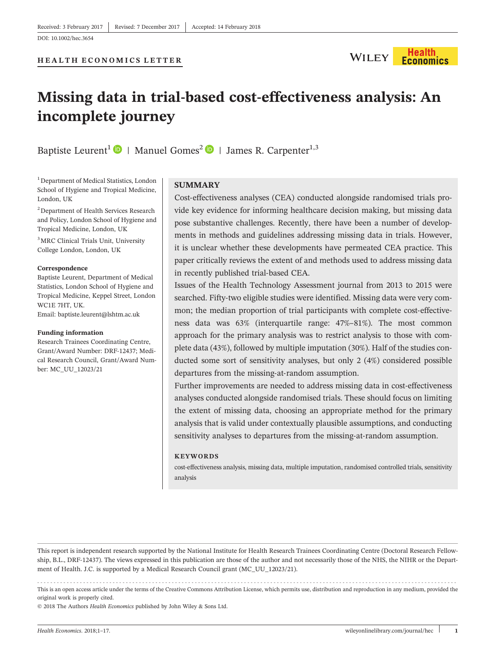

# **Missing data in trial‐based cost‐effectiveness analysis: An incomplete journey**

Baptiste Leurent<sup>1</sup>  $\bullet$  | Manuel Gomes<sup>2</sup>  $\bullet$  | James R. Carpenter<sup>1,3</sup>

<sup>1</sup> Department of Medical Statistics, London School of Hygiene and Tropical Medicine, London, UK

2 Department of Health Services Research and Policy, London School of Hygiene and Tropical Medicine, London, UK

3 MRC Clinical Trials Unit, University College London, London, UK

#### **Correspondence**

Baptiste Leurent, Department of Medical Statistics, London School of Hygiene and Tropical Medicine, Keppel Street, London WC1E 7HT, UK. Email: [baptiste.leurent@lshtm.ac.uk](mailto:baptiste.leurent@lshtm.ac.uk)

#### **Funding information**

Research Trainees Coordinating Centre, Grant/Award Number: DRF‐12437; Medical Research Council, Grant/Award Number: MC\_UU\_12023/21

#### **SUMMARY**

Cost‐effectiveness analyses (CEA) conducted alongside randomised trials provide key evidence for informing healthcare decision making, but missing data pose substantive challenges. Recently, there have been a number of developments in methods and guidelines addressing missing data in trials. However, it is unclear whether these developments have permeated CEA practice. This paper critically reviews the extent of and methods used to address missing data in recently published trial‐based CEA.

Issues of the Health Technology Assessment journal from 2013 to 2015 were searched. Fifty-two eligible studies were identified. Missing data were very common; the median proportion of trial participants with complete cost-effectiveness data was 63% (interquartile range: 47%–81%). The most common approach for the primary analysis was to restrict analysis to those with complete data (43%), followed by multiple imputation (30%). Half of the studies conducted some sort of sensitivity analyses, but only 2 (4%) considered possible departures from the missing‐at‐random assumption.

Further improvements are needed to address missing data in cost-effectiveness analyses conducted alongside randomised trials. These should focus on limiting the extent of missing data, choosing an appropriate method for the primary analysis that is valid under contextually plausible assumptions, and conducting sensitivity analyses to departures from the missing-at-random assumption.

#### **KEYWORDS**

cost‐effectiveness analysis, missing data, multiple imputation, randomised controlled trials, sensitivity analysis

This report is independent research supported by the National Institute for Health Research Trainees Coordinating Centre (Doctoral Research Fellowship, B.L., DRF-12437). The views expressed in this publication are those of the author and not necessarily those of the NHS, the NIHR or the Department of Health. J.C. is supported by a Medical Research Council grant (MC\_UU\_12023/21).

------------------------------------------------------------------------------------------------------------------------------- - This is an open access article under the terms of the [Creative Commons Attribution](http://creativecommons.org/licenses/by/4.0/) License, which permits use, distribution and reproduction in any medium, provided the original work is properly cited.

© 2018 The Authors *Health Economics* published by John Wiley & Sons Ltd.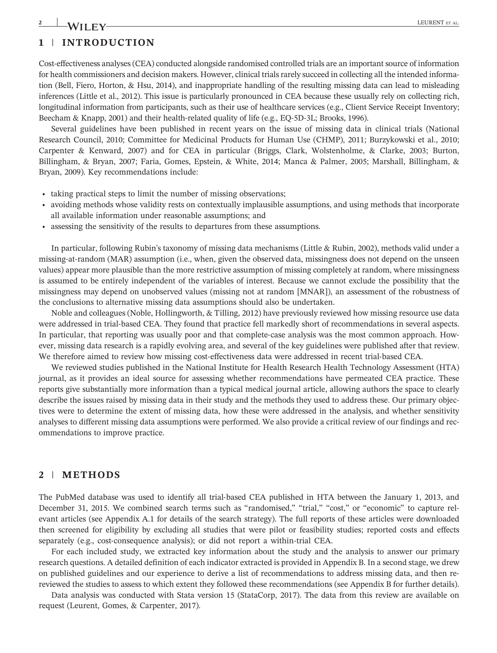# **2** LEURENT ET AL.

## **1** | **INTRODUCTION**

Cost‐effectiveness analyses (CEA) conducted alongside randomised controlled trials are an important source of information for health commissioners and decision makers. However, clinical trials rarely succeed in collecting all the intended information (Bell, Fiero, Horton, & Hsu, 2014), and inappropriate handling of the resulting missing data can lead to misleading inferences (Little et al., 2012). This issue is particularly pronounced in CEA because these usually rely on collecting rich, longitudinal information from participants, such as their use of healthcare services (e.g., Client Service Receipt Inventory; Beecham & Knapp, 2001) and their health-related quality of life (e.g., EQ-5D-3L; Brooks, 1996).

Several guidelines have been published in recent years on the issue of missing data in clinical trials (National Research Council, 2010; Committee for Medicinal Products for Human Use (CHMP), 2011; Burzykowski et al., 2010; Carpenter & Kenward, 2007) and for CEA in particular (Briggs, Clark, Wolstenholme, & Clarke, 2003; Burton, Billingham, & Bryan, 2007; Faria, Gomes, Epstein, & White, 2014; Manca & Palmer, 2005; Marshall, Billingham, & Bryan, 2009). Key recommendations include:

- taking practical steps to limit the number of missing observations;
- avoiding methods whose validity rests on contextually implausible assumptions, and using methods that incorporate all available information under reasonable assumptions; and
- assessing the sensitivity of the results to departures from these assumptions.

In particular, following Rubin's taxonomy of missing data mechanisms (Little & Rubin, 2002), methods valid under a missing-at-random (MAR) assumption (i.e., when, given the observed data, missingness does not depend on the unseen values) appear more plausible than the more restrictive assumption of missing completely at random, where missingness is assumed to be entirely independent of the variables of interest. Because we cannot exclude the possibility that the missingness may depend on unobserved values (missing not at random [MNAR]), an assessment of the robustness of the conclusions to alternative missing data assumptions should also be undertaken.

Noble and colleagues (Noble, Hollingworth, & Tilling, 2012) have previously reviewed how missing resource use data were addressed in trial-based CEA. They found that practice fell markedly short of recommendations in several aspects. In particular, that reporting was usually poor and that complete-case analysis was the most common approach. However, missing data research is a rapidly evolving area, and several of the key guidelines were published after that review. We therefore aimed to review how missing cost-effectiveness data were addressed in recent trial-based CEA.

We reviewed studies published in the National Institute for Health Research Health Technology Assessment (HTA) journal, as it provides an ideal source for assessing whether recommendations have permeated CEA practice. These reports give substantially more information than a typical medical journal article, allowing authors the space to clearly describe the issues raised by missing data in their study and the methods they used to address these. Our primary objectives were to determine the extent of missing data, how these were addressed in the analysis, and whether sensitivity analyses to different missing data assumptions were performed. We also provide a critical review of our findings and recommendations to improve practice.

## **2** | **METHODS**

The PubMed database was used to identify all trial‐based CEA published in HTA between the January 1, 2013, and December 31, 2015. We combined search terms such as "randomised," "trial," "cost," or "economic" to capture relevant articles (see Appendix A.1 for details of the search strategy). The full reports of these articles were downloaded then screened for eligibility by excluding all studies that were pilot or feasibility studies; reported costs and effects separately (e.g., cost-consequence analysis); or did not report a within-trial CEA.

For each included study, we extracted key information about the study and the analysis to answer our primary research questions. A detailed definition of each indicator extracted is provided in Appendix B. In a second stage, we drew on published guidelines and our experience to derive a list of recommendations to address missing data, and then re‐ reviewed the studies to assess to which extent they followed these recommendations (see Appendix B for further details).

Data analysis was conducted with Stata version 15 (StataCorp, 2017). The data from this review are available on request (Leurent, Gomes, & Carpenter, 2017).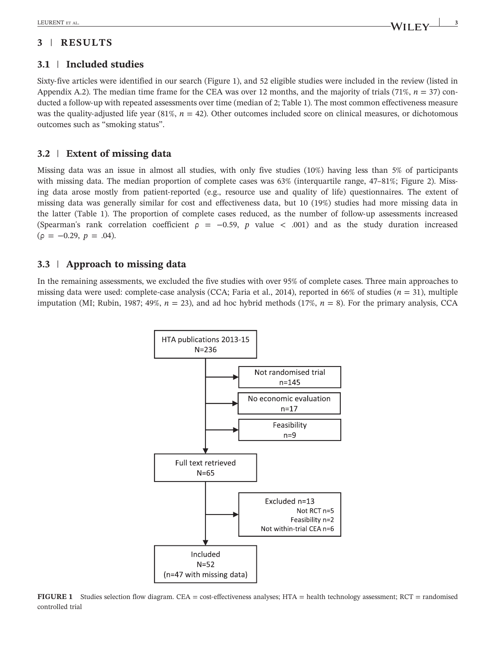# **3** | **RESULTS**

## **3.1** | **Included studies**

Sixty‐five articles were identified in our search (Figure 1), and 52 eligible studies were included in the review (listed in Appendix A.2). The median time frame for the CEA was over 12 months, and the majority of trials  $(71\%, n = 37)$  conducted a follow‐up with repeated assessments over time (median of 2; Table 1). The most common effectiveness measure was the quality-adjusted life year (81%,  $n = 42$ ). Other outcomes included score on clinical measures, or dichotomous outcomes such as "smoking status".

## **3.2** | **Extent of missing data**

Missing data was an issue in almost all studies, with only five studies (10%) having less than 5% of participants with missing data. The median proportion of complete cases was 63% (interquartile range, 47–81%; Figure 2). Missing data arose mostly from patient-reported (e.g., resource use and quality of life) questionnaires. The extent of missing data was generally similar for cost and effectiveness data, but 10 (19%) studies had more missing data in the latter (Table 1). The proportion of complete cases reduced, as the number of follow‐up assessments increased (Spearman's rank correlation coefficient  $\rho = -0.59$ , *p* value < .001) and as the study duration increased  $(\rho = -0.29, p = .04)$ .

## **3.3** | **Approach to missing data**

In the remaining assessments, we excluded the five studies with over 95% of complete cases. Three main approaches to missing data were used: complete‐case analysis (CCA; Faria et al., 2014), reported in 66% of studies (*n* = 31), multiple imputation (MI; Rubin, 1987; 49%, *n* = 23), and ad hoc hybrid methods (17%, *n* = 8). For the primary analysis, CCA



**FIGURE 1** Studies selection flow diagram. CEA = cost-effectiveness analyses; HTA = health technology assessment; RCT = randomised controlled trial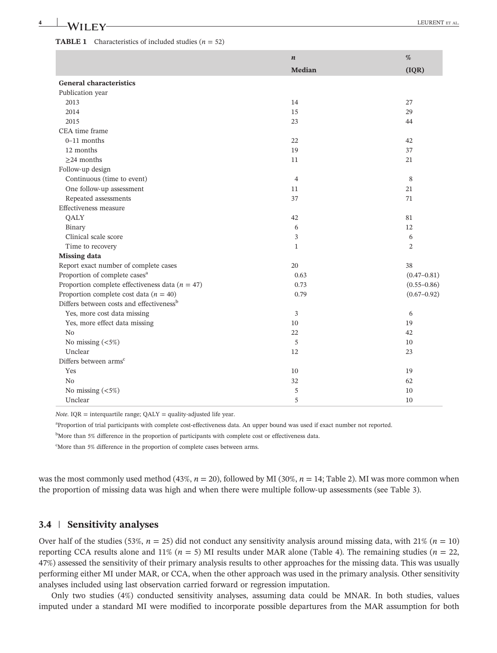#### **TABLE 1** Characteristics of included studies  $(n = 52)$

|                                                      | $\boldsymbol{n}$ | $\%$            |
|------------------------------------------------------|------------------|-----------------|
|                                                      | Median           | (IQR)           |
| <b>General characteristics</b>                       |                  |                 |
| Publication year                                     |                  |                 |
| 2013                                                 | 14               | 27              |
| 2014                                                 | 15               | 29              |
| 2015                                                 | 23               | 44              |
| CEA time frame                                       |                  |                 |
| $0-11$ months                                        | 22               | 42              |
| 12 months                                            | 19               | 37              |
| $\geq$ 24 months                                     | 11               | 21              |
| Follow-up design                                     |                  |                 |
| Continuous (time to event)                           | $\overline{4}$   | 8               |
| One follow-up assessment                             | 11               | 21              |
| Repeated assessments                                 | 37               | 71              |
| Effectiveness measure                                |                  |                 |
| QALY                                                 | 42               | 81              |
| Binary                                               | 6                | 12              |
| Clinical scale score                                 | 3                | 6               |
| Time to recovery                                     | $\mathbf{1}$     | 2               |
| <b>Missing data</b>                                  |                  |                 |
| Report exact number of complete cases                | 20               | 38              |
| Proportion of complete cases <sup>a</sup>            | 0.63             | $(0.47 - 0.81)$ |
| Proportion complete effectiveness data ( $n = 47$ )  | 0.73             | $(0.55 - 0.86)$ |
| Proportion complete cost data ( $n = 40$ )           | 0.79             | $(0.67 - 0.92)$ |
| Differs between costs and effectiveness <sup>b</sup> |                  |                 |
| Yes, more cost data missing                          | 3                | 6               |
| Yes, more effect data missing                        | 10               | 19              |
| N <sub>0</sub>                                       | 22               | 42              |
| No missing $(<5%)$                                   | 5                | 10              |
| Unclear                                              | 12               | 23              |
| Differs between arms <sup>c</sup>                    |                  |                 |
| Yes                                                  | 10               | 19              |
| No                                                   | 32               | 62              |
| No missing $(<5%)$                                   | 5                | 10              |
| Unclear                                              | 5                | 10              |

*Note*. IQR = interquartile range; QALY = quality-adjusted life year.

a Proportion of trial participants with complete cost-effectiveness data. An upper bound was used if exact number not reported.

<sup>b</sup>More than 5% difference in the proportion of participants with complete cost or effectiveness data.

c More than 5% difference in the proportion of complete cases between arms.

was the most commonly used method (43%, *n* = 20), followed by MI (30%, *n* = 14; Table 2). MI was more common when the proportion of missing data was high and when there were multiple follow‐up assessments (see Table 3).

### **3.4** | **Sensitivity analyses**

Over half of the studies (53%,  $n = 25$ ) did not conduct any sensitivity analysis around missing data, with 21% ( $n = 10$ ) reporting CCA results alone and 11% ( $n = 5$ ) MI results under MAR alone (Table 4). The remaining studies ( $n = 22$ , 47%) assessed the sensitivity of their primary analysis results to other approaches for the missing data. This was usually performing either MI under MAR, or CCA, when the other approach was used in the primary analysis. Other sensitivity analyses included using last observation carried forward or regression imputation.

Only two studies (4%) conducted sensitivity analyses, assuming data could be MNAR. In both studies, values imputed under a standard MI were modified to incorporate possible departures from the MAR assumption for both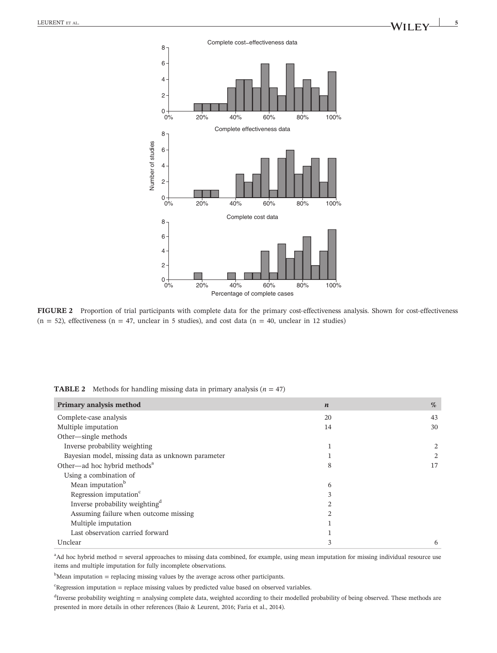

FIGURE 2 Proportion of trial participants with complete data for the primary cost-effectiveness analysis. Shown for cost-effectiveness  $(n = 52)$ , effectiveness  $(n = 47)$ , unclear in 5 studies), and cost data  $(n = 40)$ , unclear in 12 studies)

| Primary analysis method                           | $\boldsymbol{n}$ | %  |
|---------------------------------------------------|------------------|----|
| Complete-case analysis                            | 20               | 43 |
| Multiple imputation                               | 14               | 30 |
| Other—single methods                              |                  |    |
| Inverse probability weighting                     |                  | 2  |
| Bayesian model, missing data as unknown parameter |                  | 2  |
| Other—ad hoc hybrid methods <sup>a</sup>          | 8                | 17 |
| Using a combination of                            |                  |    |
| Mean imputation <sup>b</sup>                      | 6                |    |
| Regression imputation <sup>c</sup>                | 3                |    |
| Inverse probability weighting <sup>d</sup>        | $\mathfrak{D}$   |    |
| Assuming failure when outcome missing             | $\mathfrak{D}$   |    |
| Multiple imputation                               |                  |    |
| Last observation carried forward                  |                  |    |
| Unclear                                           | 3                | 6  |

**TABLE 2** Methods for handling missing data in primary analysis  $(n = 47)$ 

<sup>a</sup>Ad hoc hybrid method = several approaches to missing data combined, for example, using mean imputation for missing individual resource use items and multiple imputation for fully incomplete observations.

 $<sup>b</sup>$ Mean imputation = replacing missing values by the average across other participants.</sup>

 $c$ Regression imputation = replace missing values by predicted value based on observed variables.

 $d$ Inverse probability weighting = analysing complete data, weighted according to their modelled probability of being observed. These methods are presented in more details in other references (Baio & Leurent, 2016; Faria et al., 2014).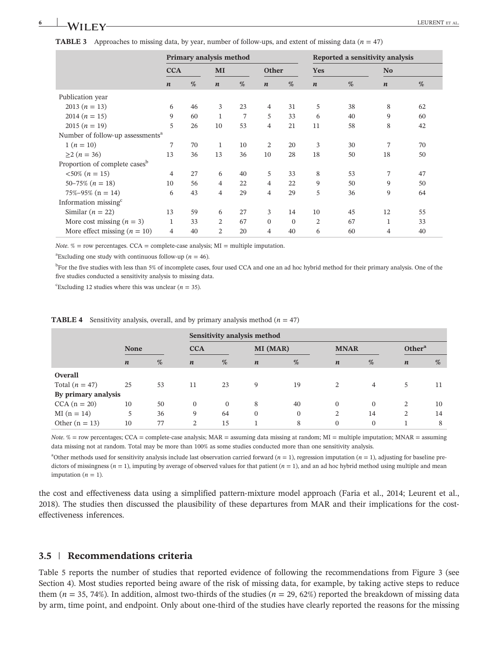| Approaches to missing data, by year, number of follow-ups, and extent of missing data ( $n = 47$ )<br><b>TABLE 3</b> |                  |    |                         |    |                  |    |                  |                                 |                  |    |
|----------------------------------------------------------------------------------------------------------------------|------------------|----|-------------------------|----|------------------|----|------------------|---------------------------------|------------------|----|
|                                                                                                                      |                  |    | Primary analysis method |    |                  |    |                  | Reported a sensitivity analysis |                  |    |
|                                                                                                                      | <b>CCA</b>       |    | MI                      |    | <b>Other</b>     |    | Yes              |                                 | N <sub>0</sub>   |    |
|                                                                                                                      | $\boldsymbol{n}$ | %  | $\boldsymbol{n}$        | %  | $\boldsymbol{n}$ | %  | $\boldsymbol{n}$ | %                               | $\boldsymbol{n}$ | %  |
| Publication year                                                                                                     |                  |    |                         |    |                  |    |                  |                                 |                  |    |
| 2013 $(n = 13)$                                                                                                      | 6                | 46 | 3                       | 23 | $\overline{4}$   | 31 | 5                | 38                              | 8                | 62 |
| 2014 $(n = 15)$                                                                                                      | 9                | 60 | $\mathbf{1}$            | 7  | 5                | 33 | 6                | 40                              | 9                | 60 |
| 2015 $(n = 19)$                                                                                                      | 5                | 26 | 10                      | 53 | $\overline{4}$   | 21 | 11               | 58                              | 8                | 42 |
| Number of follow-up assessments <sup>a</sup>                                                                         |                  |    |                         |    |                  |    |                  |                                 |                  |    |
| $1 (n = 10)$                                                                                                         | 7                | 70 | 1                       | 10 | 2                | 20 | 3                | 30                              | 7                | 70 |
| $\geq$ 2 ( <i>n</i> = 36)                                                                                            | 13               | 36 | 13                      | 36 | 10               | 28 | 18               | 50                              | 18               | 50 |
| Proportion of complete cases <sup>b</sup>                                                                            |                  |    |                         |    |                  |    |                  |                                 |                  |    |
| $<50\%$ (n = 15)                                                                                                     | $\overline{4}$   | 27 | 6                       | 40 | 5                | 33 | 8                | 53                              | 7                | 47 |
| $50-75\%$ $(n = 18)$                                                                                                 | 10               | 56 | $\overline{4}$          | 22 | $\overline{4}$   | 22 | 9                | 50                              | 9                | 50 |
| $75\% - 95\%$ (n = 14)                                                                                               | 6                | 43 | 4                       | 29 | $\overline{4}$   | 29 | 5                | 36                              | 9                | 64 |

*Note.*  $%$  = row percentages. CCA = complete-case analysis; MI = multiple imputation.

<sup>a</sup> Excluding one study with continuous follow-up ( $n = 46$ ).

Information missing $\epsilon$ 

<sup>b</sup>For the five studies with less than 5% of incomplete cases, four used CCA and one an ad hoc hybrid method for their primary analysis. One of the five studies conducted a sensitivity analysis to missing data.

Similar (*n* = 22) 13 59 6 27 3 14 10 45 12 55 More cost missing  $(n = 3)$  1 33 2 67 0 0 2 67 1 33 More effect missing  $(n = 10)$  4 40 2 20 4 40 6 60 4 40

<sup>c</sup>Excluding 12 studies where this was unclear ( $n = 35$ ).

|  |  | <b>TABLE 4</b> Sensitivity analysis, overall, and by primary analysis method $(n = 47)$ |  |  |
|--|--|-----------------------------------------------------------------------------------------|--|--|
|--|--|-----------------------------------------------------------------------------------------|--|--|

|                     |                  |    | Sensitivity analysis method |                 |                  |              |                  |                    |                  |    |
|---------------------|------------------|----|-----------------------------|-----------------|------------------|--------------|------------------|--------------------|------------------|----|
|                     | <b>None</b>      |    | <b>CCA</b>                  | <b>MI</b> (MAR) |                  | <b>MNAR</b>  |                  | Other <sup>a</sup> |                  |    |
|                     | $\boldsymbol{n}$ | %  | $\boldsymbol{n}$            | %               | $\boldsymbol{n}$ | %            | $\boldsymbol{n}$ | %                  | $\boldsymbol{n}$ | %  |
| Overall             |                  |    |                             |                 |                  |              |                  |                    |                  |    |
| Total $(n = 47)$    | 25               | 53 | 11                          | 23              | 9                | 19           | 2                | 4                  | 5                | 11 |
| By primary analysis |                  |    |                             |                 |                  |              |                  |                    |                  |    |
| $CCA (n = 20)$      | 10               | 50 | $\Omega$                    | $\Omega$        | 8                | 40           | $\Omega$         | $\Omega$           | 2                | 10 |
| $MI(n = 14)$        | 5                | 36 | 9                           | 64              | $\mathbf{0}$     | $\mathbf{0}$ | 2                | 14                 | 2                | 14 |
| Other $(n = 13)$    | 10               | 77 | 2                           | 15              |                  | 8            | $\mathbf{0}$     | $\Omega$           |                  | 8  |

*Note*. % = row percentages; CCA = complete-case analysis; MAR = assuming data missing at random; MI = multiple imputation; MNAR = assuming data missing not at random. Total may be more than 100% as some studies conducted more than one sensitivity analysis.

<sup>a</sup>Other methods used for sensitivity analysis include last observation carried forward  $(n = 1)$ , regression imputation  $(n = 1)$ , adjusting for baseline predictors of missingness ( $n = 1$ ), imputing by average of observed values for that patient ( $n = 1$ ), and an ad hoc hybrid method using multiple and mean imputation  $(n = 1)$ .

the cost and effectiveness data using a simplified pattern-mixture model approach (Faria et al., 2014; Leurent et al., 2018). The studies then discussed the plausibility of these departures from MAR and their implications for the costeffectiveness inferences.

## **3.5** | **Recommendations criteria**

Table 5 reports the number of studies that reported evidence of following the recommendations from Figure 3 (see Section 4). Most studies reported being aware of the risk of missing data, for example, by taking active steps to reduce them ( $n = 35, 74\%$ ). In addition, almost two-thirds of the studies ( $n = 29, 62\%$ ) reported the breakdown of missing data by arm, time point, and endpoint. Only about one‐third of the studies have clearly reported the reasons for the missing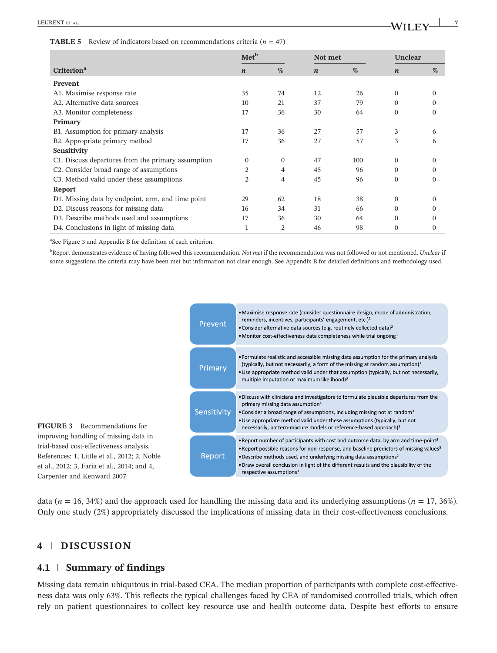#### **TABLE 5** Review of indicators based on recommendations criteria  $(n = 47)$

|                                                    | Met <sup>b</sup> |          |                  | Not met |                  | Unclear      |  |
|----------------------------------------------------|------------------|----------|------------------|---------|------------------|--------------|--|
| <b>Criterion</b> <sup>a</sup>                      | $\boldsymbol{n}$ | %        | $\boldsymbol{n}$ | $\%$    | $\boldsymbol{n}$ | %            |  |
| Prevent                                            |                  |          |                  |         |                  |              |  |
| A1. Maximise response rate                         | 35               | 74       | 12               | 26      | $\Omega$         | $\Omega$     |  |
| A2. Alternative data sources                       | 10               | 21       | 37               | 79      | $\Omega$         | $\Omega$     |  |
| A3. Monitor completeness                           | 17               | 36       | 30               | 64      | $\mathbf{0}$     | $\Omega$     |  |
| Primary                                            |                  |          |                  |         |                  |              |  |
| B1. Assumption for primary analysis                | 17               | 36       | 27               | 57      | 3                | 6            |  |
| B2. Appropriate primary method                     |                  | 36       | 27               | 57      | 3                | 6            |  |
| Sensitivity                                        |                  |          |                  |         |                  |              |  |
| C1. Discuss departures from the primary assumption | $\Omega$         | $\Omega$ | 47               | 100     | $\Omega$         | $\mathbf{0}$ |  |
| C2. Consider broad range of assumptions            | 2                | 4        | 45               | 96      | $\Omega$         | $\Omega$     |  |
| C3. Method valid under these assumptions           | 2                | 4        | 45               | 96      | $\Omega$         | $\mathbf{0}$ |  |
| Report                                             |                  |          |                  |         |                  |              |  |
| D1. Missing data by endpoint, arm, and time point  | 29               | 62       | 18               | 38      | $\Omega$         | $\Omega$     |  |
| D2. Discuss reasons for missing data               | 16               | 34       | 31               | 66      | $\Omega$         | $\Omega$     |  |
| D3. Describe methods used and assumptions          | 17               | 36       | 30               | 64      | $\Omega$         | $\Omega$     |  |
| D4. Conclusions in light of missing data           |                  | 2        | 46               | 98      | $\Omega$         | $\Omega$     |  |

a See Figure 3 and Appendix B for definition of each criterion.

b Report demonstrates evidence of having followed this recommendation. *Not met* if the recommendation was not followed or not mentioned. *Unclear* if some suggestions the criteria may have been met but information not clear enough. See Appendix B for detailed definitions and methodology used.



data (*n* = 16, 34%) and the approach used for handling the missing data and its underlying assumptions (*n* = 17, 36%). Only one study (2%) appropriately discussed the implications of missing data in their cost-effectiveness conclusions.

## **4** | **DISCUSSION**

Carpenter and Kenward 2007

## **4.1** | **Summary of findings**

Missing data remain ubiquitous in trial-based CEA. The median proportion of participants with complete cost-effectiveness data was only 63%. This reflects the typical challenges faced by CEA of randomised controlled trials, which often rely on patient questionnaires to collect key resource use and health outcome data. Despite best efforts to ensure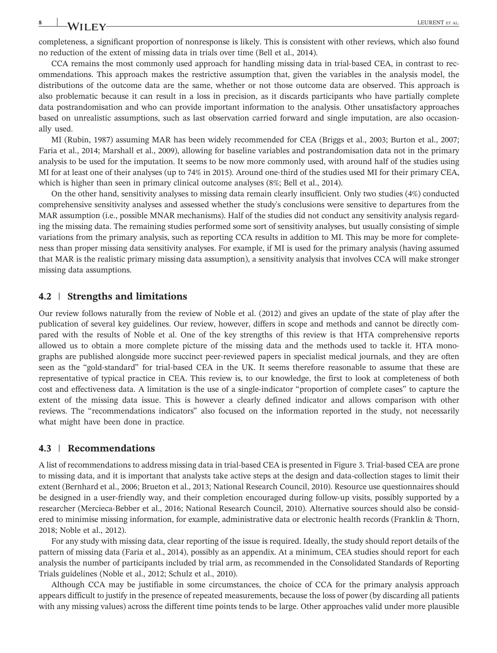completeness, a significant proportion of nonresponse is likely. This is consistent with other reviews, which also found no reduction of the extent of missing data in trials over time (Bell et al., 2014).

CCA remains the most commonly used approach for handling missing data in trial‐based CEA, in contrast to recommendations. This approach makes the restrictive assumption that, given the variables in the analysis model, the distributions of the outcome data are the same, whether or not those outcome data are observed. This approach is also problematic because it can result in a loss in precision, as it discards participants who have partially complete data postrandomisation and who can provide important information to the analysis. Other unsatisfactory approaches based on unrealistic assumptions, such as last observation carried forward and single imputation, are also occasionally used.

MI (Rubin, 1987) assuming MAR has been widely recommended for CEA (Briggs et al., 2003; Burton et al., 2007; Faria et al., 2014; Marshall et al., 2009), allowing for baseline variables and postrandomisation data not in the primary analysis to be used for the imputation. It seems to be now more commonly used, with around half of the studies using MI for at least one of their analyses (up to 74% in 2015). Around one‐third of the studies used MI for their primary CEA, which is higher than seen in primary clinical outcome analyses (8%; Bell et al., 2014).

On the other hand, sensitivity analyses to missing data remain clearly insufficient. Only two studies (4%) conducted comprehensive sensitivity analyses and assessed whether the study's conclusions were sensitive to departures from the MAR assumption (i.e., possible MNAR mechanisms). Half of the studies did not conduct any sensitivity analysis regarding the missing data. The remaining studies performed some sort of sensitivity analyses, but usually consisting of simple variations from the primary analysis, such as reporting CCA results in addition to MI. This may be more for completeness than proper missing data sensitivity analyses. For example, if MI is used for the primary analysis (having assumed that MAR is the realistic primary missing data assumption), a sensitivity analysis that involves CCA will make stronger missing data assumptions.

#### **4.2** | **Strengths and limitations**

Our review follows naturally from the review of Noble et al. (2012) and gives an update of the state of play after the publication of several key guidelines. Our review, however, differs in scope and methods and cannot be directly compared with the results of Noble et al. One of the key strengths of this review is that HTA comprehensive reports allowed us to obtain a more complete picture of the missing data and the methods used to tackle it. HTA monographs are published alongside more succinct peer‐reviewed papers in specialist medical journals, and they are often seen as the "gold-standard" for trial-based CEA in the UK. It seems therefore reasonable to assume that these are representative of typical practice in CEA. This review is, to our knowledge, the first to look at completeness of both cost and effectiveness data. A limitation is the use of a single‐indicator "proportion of complete cases" to capture the extent of the missing data issue. This is however a clearly defined indicator and allows comparison with other reviews. The "recommendations indicators" also focused on the information reported in the study, not necessarily what might have been done in practice.

#### **4.3** | **Recommendations**

A list of recommendations to address missing data in trial‐based CEA is presented in Figure 3. Trial‐based CEA are prone to missing data, and it is important that analysts take active steps at the design and data‐collection stages to limit their extent (Bernhard et al., 2006; Brueton et al., 2013; National Research Council, 2010). Resource use questionnaires should be designed in a user-friendly way, and their completion encouraged during follow-up visits, possibly supported by a researcher (Mercieca‐Bebber et al., 2016; National Research Council, 2010). Alternative sources should also be considered to minimise missing information, for example, administrative data or electronic health records (Franklin & Thorn, 2018; Noble et al., 2012).

For any study with missing data, clear reporting of the issue is required. Ideally, the study should report details of the pattern of missing data (Faria et al., 2014), possibly as an appendix. At a minimum, CEA studies should report for each analysis the number of participants included by trial arm, as recommended in the Consolidated Standards of Reporting Trials guidelines (Noble et al., 2012; Schulz et al., 2010).

Although CCA may be justifiable in some circumstances, the choice of CCA for the primary analysis approach appears difficult to justify in the presence of repeated measurements, because the loss of power (by discarding all patients with any missing values) across the different time points tends to be large. Other approaches valid under more plausible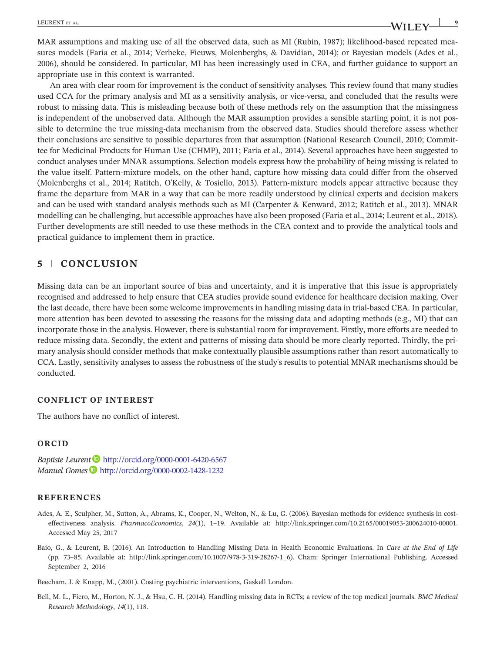MAR assumptions and making use of all the observed data, such as MI (Rubin, 1987); likelihood-based repeated measures models (Faria et al., 2014; Verbeke, Fieuws, Molenberghs, & Davidian, 2014); or Bayesian models (Ades et al., 2006), should be considered. In particular, MI has been increasingly used in CEA, and further guidance to support an appropriate use in this context is warranted.

An area with clear room for improvement is the conduct of sensitivity analyses. This review found that many studies used CCA for the primary analysis and MI as a sensitivity analysis, or vice-versa, and concluded that the results were robust to missing data. This is misleading because both of these methods rely on the assumption that the missingness is independent of the unobserved data. Although the MAR assumption provides a sensible starting point, it is not possible to determine the true missing-data mechanism from the observed data. Studies should therefore assess whether their conclusions are sensitive to possible departures from that assumption (National Research Council, 2010; Committee for Medicinal Products for Human Use (CHMP), 2011; Faria et al., 2014). Several approaches have been suggested to conduct analyses under MNAR assumptions. Selection models express how the probability of being missing is related to the value itself. Pattern‐mixture models, on the other hand, capture how missing data could differ from the observed (Molenberghs et al., 2014; Ratitch, O'Kelly, & Tosiello, 2013). Pattern‐mixture models appear attractive because they frame the departure from MAR in a way that can be more readily understood by clinical experts and decision makers and can be used with standard analysis methods such as MI (Carpenter & Kenward, 2012; Ratitch et al., 2013). MNAR modelling can be challenging, but accessible approaches have also been proposed (Faria et al., 2014; Leurent et al., 2018). Further developments are still needed to use these methods in the CEA context and to provide the analytical tools and practical guidance to implement them in practice.

## **5** | **CONCLUSION**

Missing data can be an important source of bias and uncertainty, and it is imperative that this issue is appropriately recognised and addressed to help ensure that CEA studies provide sound evidence for healthcare decision making. Over the last decade, there have been some welcome improvements in handling missing data in trial‐based CEA. In particular, more attention has been devoted to assessing the reasons for the missing data and adopting methods (e.g., MI) that can incorporate those in the analysis. However, there is substantial room for improvement. Firstly, more efforts are needed to reduce missing data. Secondly, the extent and patterns of missing data should be more clearly reported. Thirdly, the primary analysis should consider methods that make contextually plausible assumptions rather than resort automatically to CCA. Lastly, sensitivity analyses to assess the robustness of the study's results to potential MNAR mechanisms should be conducted.

### **CONFLICT OF INTEREST**

The authors have no conflict of interest.

### **ORCID**

*Baptiste Leurent* <http://orcid.org/0000-0001-6420-6567> *Manuel Gomes* **b** <http://orcid.org/0000-0002-1428-1232>

### **REFERENCES**

- Ades, A. E., Sculpher, M., Sutton, A., Abrams, K., Cooper, N., Welton, N., & Lu, G. (2006). Bayesian methods for evidence synthesis in costeffectiveness analysis. *PharmacoEconomics*, *24*(1), 1–19. Available at: [http://link.springer.com/10.2165/00019053](http://link.springer.com/10.2165/00019053-200624010-00001)‐200624010‐00001. Accessed May 25, 2017
- Baio, G., & Leurent, B. (2016). An Introduction to Handling Missing Data in Health Economic Evaluations. In *Care at the End of Life* (pp. 73–85. Available at: [http://link.springer.com/10.1007/978](http://link.springer.com/10.1007/978-3-319-28267-1_6)‐3‐319‐28267‐1\_6). Cham: Springer International Publishing. Accessed September 2, 2016

Beecham, J. & Knapp, M., (2001). Costing psychiatric interventions, Gaskell London.

Bell, M. L., Fiero, M., Horton, N. J., & Hsu, C. H. (2014). Handling missing data in RCTs; a review of the top medical journals. *BMC Medical Research Methodology*, *14*(1), 118.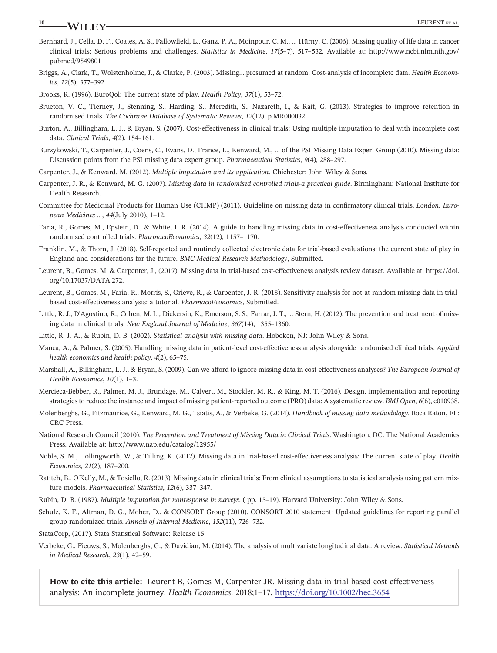## **10 LEURENT** ET AL. **LEURENT** ET AL.

- Bernhard, J., Cella, D. F., Coates, A. S., Fallowfield, L., Ganz, P. A., Moinpour, C. M., … Hürny, C. (2006). Missing quality of life data in cancer clinical trials: Serious problems and challenges. *Statistics in Medicine*, *17*(5–7), 517–532. Available at: [http://www.ncbi.nlm.nih.gov/](http://www.ncbi.nlm.nih.gov/pubmed/9549801) [pubmed/9549801](http://www.ncbi.nlm.nih.gov/pubmed/9549801)
- Briggs, A., Clark, T., Wolstenholme, J., & Clarke, P. (2003). Missing....presumed at random: Cost-analysis of incomplete data. *Health Economics*, *12*(5), 377–392.

Brooks, R. (1996). EuroQol: The current state of play. *Health Policy*, *37*(1), 53–72.

- Brueton, V. C., Tierney, J., Stenning, S., Harding, S., Meredith, S., Nazareth, I., & Rait, G. (2013). Strategies to improve retention in randomised trials. *The Cochrane Database of Systematic Reviews*, *12*(12). p.MR000032
- Burton, A., Billingham, L. J., & Bryan, S. (2007). Cost-effectiveness in clinical trials: Using multiple imputation to deal with incomplete cost data. *Clinical Trials*, *4*(2), 154–161.
- Burzykowski, T., Carpenter, J., Coens, C., Evans, D., France, L., Kenward, M., … of the PSI Missing Data Expert Group (2010). Missing data: Discussion points from the PSI missing data expert group. *Pharmaceutical Statistics*, *9*(4), 288–297.
- Carpenter, J., & Kenward, M. (2012). *Multiple imputation and its application*. Chichester: John Wiley & Sons.
- Carpenter, J. R., & Kenward, M. G. (2007). *Missing data in randomised controlled trials‐a practical guide*. Birmingham: National Institute for Health Research.
- Committee for Medicinal Products for Human Use (CHMP) (2011). Guideline on missing data in confirmatory clinical trials. *London: European Medicines …*, *44*(July 2010), 1–12.
- Faria, R., Gomes, M., Epstein, D., & White, I. R. (2014). A guide to handling missing data in cost-effectiveness analysis conducted within randomised controlled trials. *PharmacoEconomics*, *32*(12), 1157–1170.
- Franklin, M., & Thorn, J. (2018). Self-reported and routinely collected electronic data for trial-based evaluations: the current state of play in England and considerations for the future. *BMC Medical Research Methodology*, Submitted.
- Leurent, B., Gomes, M. & Carpenter, J., (2017). Missing data in trial‐based cost‐effectiveness analysis review dataset. Available at: [https://doi.](https://doi.org/10.17037/DATA.272) [org/10.17037/DATA.272.](https://doi.org/10.17037/DATA.272)
- Leurent, B., Gomes, M., Faria, R., Morris, S., Grieve, R., & Carpenter, J. R. (2018). Sensitivity analysis for not-at-random missing data in trialbased cost‐effectiveness analysis: a tutorial. *PharmacoEconomics*, Submitted.
- Little, R. J., D'Agostino, R., Cohen, M. L., Dickersin, K., Emerson, S. S., Farrar, J. T., … Stern, H. (2012). The prevention and treatment of missing data in clinical trials. *New England Journal of Medicine*, *367*(14), 1355–1360.
- Little, R. J. A., & Rubin, D. B. (2002). *Statistical analysis with missing data*. Hoboken, NJ: John Wiley & Sons.
- Manca, A., & Palmer, S. (2005). Handling missing data in patient‐level cost‐effectiveness analysis alongside randomised clinical trials. *Applied health economics and health policy*, *4*(2), 65–75.
- Marshall, A., Billingham, L. J., & Bryan, S. (2009). Can we afford to ignore missing data in cost‐effectiveness analyses? *The European Journal of Health Economics*, *10*(1), 1–3.
- Mercieca-Bebber, R., Palmer, M. J., Brundage, M., Calvert, M., Stockler, M. R., & King, M. T. (2016). Design, implementation and reporting strategies to reduce the instance and impact of missing patient‐reported outcome (PRO) data: A systematic review. *BMJ Open*, *6*(6), e010938.
- Molenberghs, G., Fitzmaurice, G., Kenward, M. G., Tsiatis, A., & Verbeke, G. (2014). *Handbook of missing data methodology*. Boca Raton, FL: CRC Press.
- National Research Council (2010). *The Prevention and Treatment of Missing Data in Clinical Trials*. Washington, DC: The National Academies Press. Available at:<http://www.nap.edu/catalog/12955/>
- Noble, S. M., Hollingworth, W., & Tilling, K. (2012). Missing data in trial‐based cost‐effectiveness analysis: The current state of play. *Health Economics*, *21*(2), 187–200.
- Ratitch, B., O'Kelly, M., & Tosiello, R. (2013). Missing data in clinical trials: From clinical assumptions to statistical analysis using pattern mixture models. *Pharmaceutical Statistics*, *12*(6), 337–347.
- Rubin, D. B. (1987). *Multiple imputation for nonresponse in surveys*. ( pp. 15–19). Harvard University: John Wiley & Sons.
- Schulz, K. F., Altman, D. G., Moher, D., & CONSORT Group (2010). CONSORT 2010 statement: Updated guidelines for reporting parallel group randomized trials. *Annals of Internal Medicine*, *152*(11), 726–732.
- StataCorp, (2017). Stata Statistical Software: Release 15.
- Verbeke, G., Fieuws, S., Molenberghs, G., & Davidian, M. (2014). The analysis of multivariate longitudinal data: A review. *Statistical Methods in Medical Research*, *23*(1), 42–59.

How to cite this article: Leurent B, Gomes M, Carpenter JR. Missing data in trial-based cost-effectiveness analysis: An incomplete journey. *Health Economics*. 2018;1–17. <https://doi.org/10.1002/hec.3654>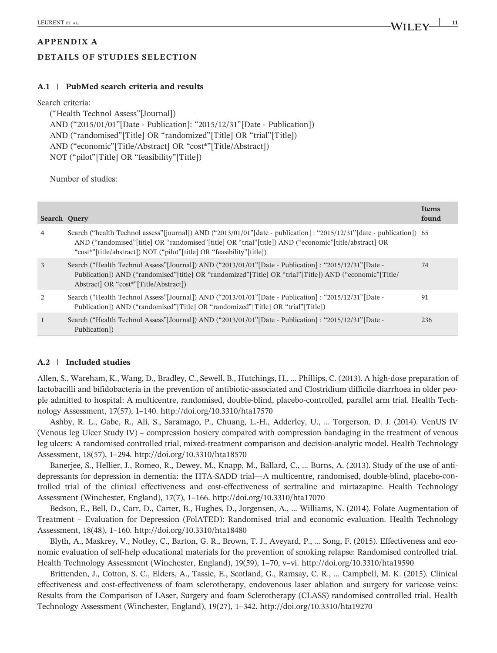# **APPENDIX A DETAILS OF STUDIES SELECTION**

## **A.1** | **PubMed search criteria and results**

#### Search criteria:

("Health Technol Assess"[Journal]) AND ("2015/01/01"[Date ‐ Publication]: "2015/12/31"[Date ‐ Publication]) AND ("randomised"[Title] OR "randomized"[Title] OR "trial"[Title]) AND ("economic"[Title/Abstract] OR "cost\*"[Title/Abstract]) NOT ("pilot"[Title] OR "feasibility"[Title])

Number of studies:

| Search Ouery |                                                                                                                                                                                                                                                                                                             | <b>Items</b><br>found |
|--------------|-------------------------------------------------------------------------------------------------------------------------------------------------------------------------------------------------------------------------------------------------------------------------------------------------------------|-----------------------|
| 4            | Search ("health Technol assess" [journal]) AND ("2013/01/01" [date - publication] : "2015/12/31" [date - publication]) 65<br>AND ("randomised" title  OR "randomised" title  OR "trial" title ) AND ("economic" title/abstract  OR<br>"cost*"[title/abstract]) NOT ("pilot"[title] OR "feasibility"[title]) |                       |
| 3            | Search ("Health Technol Assess" [Journal]) AND ("2013/01/01" [Date - Publication] : "2015/12/31" [Date -<br>Publication]) AND ("randomised"[title] OR "randomized"[Title] OR "trial"[Title]) AND ("economic"[Title]<br>Abstract   OR "cost*" [Title/Abstract])                                              | 74                    |
| 2            | Search ("Health Technol Assess" [Journal]) AND ("2013/01/01" [Date - Publication] : "2015/12/31" [Date -<br>Publication]) AND ("randomised"[Title] OR "randomized"[Title] OR "trial"[Title])                                                                                                                | 91                    |
| $\mathbf{1}$ | Search ("Health Technol Assess" [Journal]) AND ("2013/01/01" [Date - Publication] : "2015/12/31" [Date -<br>Publication])                                                                                                                                                                                   | 236                   |

### **A.2** | **Included studies**

Allen, S., Wareham, K., Wang, D., Bradley, C., Sewell, B., Hutchings, H., … Phillips, C. (2013). A high‐dose preparation of lactobacilli and bifidobacteria in the prevention of antibiotic‐associated and Clostridium difficile diarrhoea in older people admitted to hospital: A multicentre, randomised, double‐blind, placebo‐controlled, parallel arm trial. Health Technology Assessment, 17(57), 1–140.<http://doi.org/10.3310/hta17570>

Ashby, R. L., Gabe, R., Ali, S., Saramago, P., Chuang, L.‐H., Adderley, U., … Torgerson, D. J. (2014). VenUS IV (Venous leg Ulcer Study IV) – compression hosiery compared with compression bandaging in the treatment of venous leg ulcers: A randomised controlled trial, mixed-treatment comparison and decision-analytic model. Health Technology Assessment, 18(57), 1–294.<http://doi.org/10.3310/hta18570>

Banerjee, S., Hellier, J., Romeo, R., Dewey, M., Knapp, M., Ballard, C., … Burns, A. (2013). Study of the use of antidepressants for depression in dementia: the HTA‐SADD trial—A multicentre, randomised, double‐blind, placebo‐controlled trial of the clinical effectiveness and cost‐effectiveness of sertraline and mirtazapine. Health Technology Assessment (Winchester, England), 17(7), 1–166.<http://doi.org/10.3310/hta17070>

Bedson, E., Bell, D., Carr, D., Carter, B., Hughes, D., Jorgensen, A., … Williams, N. (2014). Folate Augmentation of Treatment – Evaluation for Depression (FolATED): Randomised trial and economic evaluation. Health Technology Assessment, 18(48), 1–160.<http://doi.org/10.3310/hta18480>

Blyth, A., Maskrey, V., Notley, C., Barton, G. R., Brown, T. J., Aveyard, P., … Song, F. (2015). Effectiveness and economic evaluation of self‐help educational materials for the prevention of smoking relapse: Randomised controlled trial. Health Technology Assessment (Winchester, England), 19(59), 1–70, v–vi.<http://doi.org/10.3310/hta19590>

Brittenden, J., Cotton, S. C., Elders, A., Tassie, E., Scotland, G., Ramsay, C. R., … Campbell, M. K. (2015). Clinical effectiveness and cost‐effectiveness of foam sclerotherapy, endovenous laser ablation and surgery for varicose veins: Results from the Comparison of LAser, Surgery and foam Sclerotherapy (CLASS) randomised controlled trial. Health Technology Assessment (Winchester, England), 19(27), 1–342.<http://doi.org/10.3310/hta19270>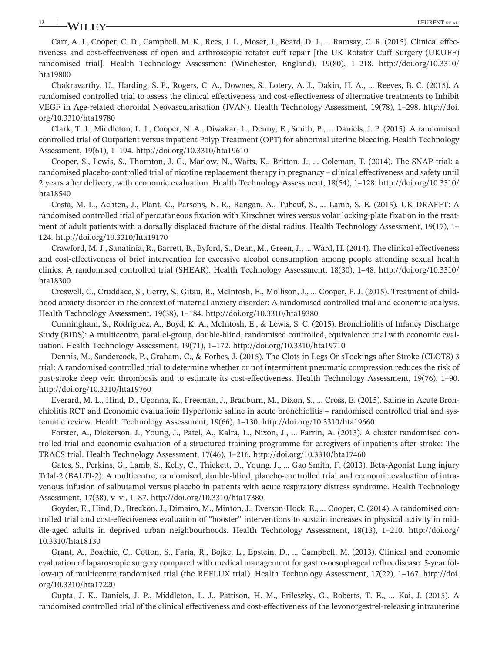# **12 LEURENT ET AL.**<br>**12 LEURENT ET AL.**

Carr, A. J., Cooper, C. D., Campbell, M. K., Rees, J. L., Moser, J., Beard, D. J., … Ramsay, C. R. (2015). Clinical effectiveness and cost‐effectiveness of open and arthroscopic rotator cuff repair [the UK Rotator Cuff Surgery (UKUFF) randomised trial]. Health Technology Assessment (Winchester, England), 19(80), 1–218. [http://doi.org/10.3310/](http://doi.org/10.3310/hta19800) [hta19800](http://doi.org/10.3310/hta19800)

Chakravarthy, U., Harding, S. P., Rogers, C. A., Downes, S., Lotery, A. J., Dakin, H. A., … Reeves, B. C. (2015). A randomised controlled trial to assess the clinical effectiveness and cost-effectiveness of alternative treatments to Inhibit VEGF in Age‐related choroidal Neovascularisation (IVAN). Health Technology Assessment, 19(78), 1–298. [http://doi.](http://doi.org/10.3310/hta19780) [org/10.3310/hta19780](http://doi.org/10.3310/hta19780)

Clark, T. J., Middleton, L. J., Cooper, N. A., Diwakar, L., Denny, E., Smith, P., … Daniels, J. P. (2015). A randomised controlled trial of Outpatient versus inpatient Polyp Treatment (OPT) for abnormal uterine bleeding. Health Technology Assessment, 19(61), 1–194.<http://doi.org/10.3310/hta19610>

Cooper, S., Lewis, S., Thornton, J. G., Marlow, N., Watts, K., Britton, J., … Coleman, T. (2014). The SNAP trial: a randomised placebo‐controlled trial of nicotine replacement therapy in pregnancy – clinical effectiveness and safety until 2 years after delivery, with economic evaluation. Health Technology Assessment, 18(54), 1–128. [http://doi.org/10.3310/](http://doi.org/10.3310/hta18540) [hta18540](http://doi.org/10.3310/hta18540)

Costa, M. L., Achten, J., Plant, C., Parsons, N. R., Rangan, A., Tubeuf, S., … Lamb, S. E. (2015). UK DRAFFT: A randomised controlled trial of percutaneous fixation with Kirschner wires versus volar locking‐plate fixation in the treatment of adult patients with a dorsally displaced fracture of the distal radius. Health Technology Assessment, 19(17), 1– 124.<http://doi.org/10.3310/hta19170>

Crawford, M. J., Sanatinia, R., Barrett, B., Byford, S., Dean, M., Green, J., … Ward, H. (2014). The clinical effectiveness and cost‐effectiveness of brief intervention for excessive alcohol consumption among people attending sexual health clinics: A randomised controlled trial (SHEAR). Health Technology Assessment, 18(30), 1–48. [http://doi.org/10.3310/](http://doi.org/10.3310/hta18300) [hta18300](http://doi.org/10.3310/hta18300)

Creswell, C., Cruddace, S., Gerry, S., Gitau, R., McIntosh, E., Mollison, J., … Cooper, P. J. (2015). Treatment of childhood anxiety disorder in the context of maternal anxiety disorder: A randomised controlled trial and economic analysis. Health Technology Assessment, 19(38), 1–184.<http://doi.org/10.3310/hta19380>

Cunningham, S., Rodriguez, A., Boyd, K. A., McIntosh, E., & Lewis, S. C. (2015). Bronchiolitis of Infancy Discharge Study (BIDS): A multicentre, parallel‐group, double‐blind, randomised controlled, equivalence trial with economic evaluation. Health Technology Assessment, 19(71), 1–172.<http://doi.org/10.3310/hta19710>

Dennis, M., Sandercock, P., Graham, C., & Forbes, J. (2015). The Clots in Legs Or sTockings after Stroke (CLOTS) 3 trial: A randomised controlled trial to determine whether or not intermittent pneumatic compression reduces the risk of post‐stroke deep vein thrombosis and to estimate its cost‐effectiveness. Health Technology Assessment, 19(76), 1–90. <http://doi.org/10.3310/hta19760>

Everard, M. L., Hind, D., Ugonna, K., Freeman, J., Bradburn, M., Dixon, S., … Cross, E. (2015). Saline in Acute Bronchiolitis RCT and Economic evaluation: Hypertonic saline in acute bronchiolitis – randomised controlled trial and systematic review. Health Technology Assessment, 19(66), 1–130.<http://doi.org/10.3310/hta19660>

Forster, A., Dickerson, J., Young, J., Patel, A., Kalra, L., Nixon, J., … Farrin, A. (2013). A cluster randomised controlled trial and economic evaluation of a structured training programme for caregivers of inpatients after stroke: The TRACS trial. Health Technology Assessment, 17(46), 1–216.<http://doi.org/10.3310/hta17460>

Gates, S., Perkins, G., Lamb, S., Kelly, C., Thickett, D., Young, J., … Gao Smith, F. (2013). Beta‐Agonist Lung injury TrIal‐2 (BALTI‐2): A multicentre, randomised, double‐blind, placebo‐controlled trial and economic evaluation of intravenous infusion of salbutamol versus placebo in patients with acute respiratory distress syndrome. Health Technology Assessment, 17(38), v–vi, 1–87.<http://doi.org/10.3310/hta17380>

Goyder, E., Hind, D., Breckon, J., Dimairo, M., Minton, J., Everson‐Hock, E., … Cooper, C. (2014). A randomised controlled trial and cost‐effectiveness evaluation of "booster" interventions to sustain increases in physical activity in middle‐aged adults in deprived urban neighbourhoods. Health Technology Assessment, 18(13), 1–210. [http://doi.org/](http://doi.org/10.3310/hta18130) [10.3310/hta18130](http://doi.org/10.3310/hta18130)

Grant, A., Boachie, C., Cotton, S., Faria, R., Bojke, L., Epstein, D., … Campbell, M. (2013). Clinical and economic evaluation of laparoscopic surgery compared with medical management for gastro‐oesophageal reflux disease: 5‐year follow‐up of multicentre randomised trial (the REFLUX trial). Health Technology Assessment, 17(22), 1–167. [http://doi.](http://doi.org/10.3310/hta17220) [org/10.3310/hta17220](http://doi.org/10.3310/hta17220)

Gupta, J. K., Daniels, J. P., Middleton, L. J., Pattison, H. M., Prileszky, G., Roberts, T. E., … Kai, J. (2015). A randomised controlled trial of the clinical effectiveness and cost-effectiveness of the levonorgestrel-releasing intrauterine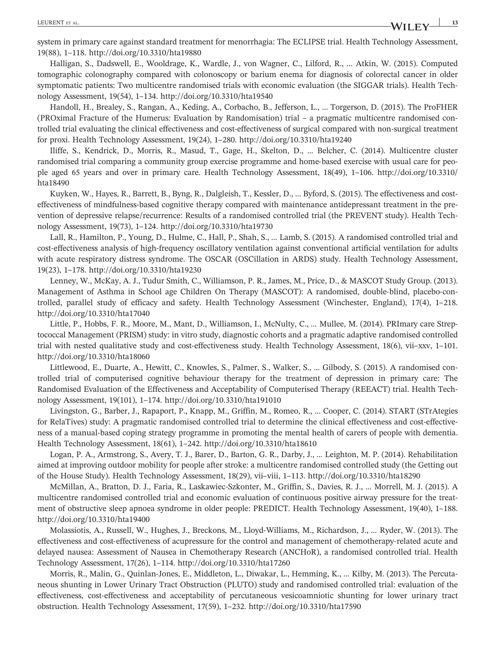system in primary care against standard treatment for menorrhagia: The ECLIPSE trial. Health Technology Assessment, 19(88), 1–118.<http://doi.org/10.3310/hta19880>

Halligan, S., Dadswell, E., Wooldrage, K., Wardle, J., von Wagner, C., Lilford, R., … Atkin, W. (2015). Computed tomographic colonography compared with colonoscopy or barium enema for diagnosis of colorectal cancer in older symptomatic patients: Two multicentre randomised trials with economic evaluation (the SIGGAR trials). Health Technology Assessment, 19(54), 1–134.<http://doi.org/10.3310/hta19540>

Handoll, H., Brealey, S., Rangan, A., Keding, A., Corbacho, B., Jefferson, L., … Torgerson, D. (2015). The ProFHER (PROximal Fracture of the Humerus: Evaluation by Randomisation) trial – a pragmatic multicentre randomised controlled trial evaluating the clinical effectiveness and cost-effectiveness of surgical compared with non-surgical treatment for proxi. Health Technology Assessment, 19(24), 1–280.<http://doi.org/10.3310/hta19240>

Iliffe, S., Kendrick, D., Morris, R., Masud, T., Gage, H., Skelton, D., … Belcher, C. (2014). Multicentre cluster randomised trial comparing a community group exercise programme and home-based exercise with usual care for people aged 65 years and over in primary care. Health Technology Assessment, 18(49), 1–106. [http://doi.org/10.3310/](http://doi.org/10.3310/hta18490) [hta18490](http://doi.org/10.3310/hta18490)

Kuyken, W., Hayes, R., Barrett, B., Byng, R., Dalgleish, T., Kessler, D., ... Byford, S. (2015). The effectiveness and costeffectiveness of mindfulness‐based cognitive therapy compared with maintenance antidepressant treatment in the prevention of depressive relapse/recurrence: Results of a randomised controlled trial (the PREVENT study). Health Technology Assessment, 19(73), 1–124.<http://doi.org/10.3310/hta19730>

Lall, R., Hamilton, P., Young, D., Hulme, C., Hall, P., Shah, S., … Lamb, S. (2015). A randomised controlled trial and cost-effectiveness analysis of high-frequency oscillatory ventilation against conventional artificial ventilation for adults with acute respiratory distress syndrome. The OSCAR (OSCillation in ARDS) study. Health Technology Assessment, 19(23), 1–178.<http://doi.org/10.3310/hta19230>

Lenney, W., McKay, A. J., Tudur Smith, C., Williamson, P. R., James, M., Price, D., & MASCOT Study Group. (2013). Management of Asthma in School age Children On Therapy (MASCOT): A randomised, double‐blind, placebo‐controlled, parallel study of efficacy and safety. Health Technology Assessment (Winchester, England), 17(4), 1–218. <http://doi.org/10.3310/hta17040>

Little, P., Hobbs, F. R., Moore, M., Mant, D., Williamson, I., McNulty, C., … Mullee, M. (2014). PRImary care Streptococcal Management (PRISM) study: in vitro study, diagnostic cohorts and a pragmatic adaptive randomised controlled trial with nested qualitative study and cost‐effectiveness study. Health Technology Assessment, 18(6), vii–xxv, 1–101. <http://doi.org/10.3310/hta18060>

Littlewood, E., Duarte, A., Hewitt, C., Knowles, S., Palmer, S., Walker, S., … Gilbody, S. (2015). A randomised controlled trial of computerised cognitive behaviour therapy for the treatment of depression in primary care: The Randomised Evaluation of the Effectiveness and Acceptability of Computerised Therapy (REEACT) trial. Health Technology Assessment, 19(101), 1–174.<http://doi.org/10.3310/hta191010>

Livingston, G., Barber, J., Rapaport, P., Knapp, M., Griffin, M., Romeo, R., … Cooper, C. (2014). START (STrAtegies for RelaTives) study: A pragmatic randomised controlled trial to determine the clinical effectiveness and cost-effectiveness of a manual‐based coping strategy programme in promoting the mental health of carers of people with dementia. Health Technology Assessment, 18(61), 1–242.<http://doi.org/10.3310/hta18610>

Logan, P. A., Armstrong, S., Avery, T. J., Barer, D., Barton, G. R., Darby, J., … Leighton, M. P. (2014). Rehabilitation aimed at improving outdoor mobility for people after stroke: a multicentre randomised controlled study (the Getting out of the House Study). Health Technology Assessment, 18(29), vii–viii, 1–113.<http://doi.org/10.3310/hta18290>

McMillan, A., Bratton, D. J., Faria, R., Laskawiec‐Szkonter, M., Griffin, S., Davies, R. J., … Morrell, M. J. (2015). A multicentre randomised controlled trial and economic evaluation of continuous positive airway pressure for the treatment of obstructive sleep apnoea syndrome in older people: PREDICT. Health Technology Assessment, 19(40), 1–188. <http://doi.org/10.3310/hta19400>

Molassiotis, A., Russell, W., Hughes, J., Breckons, M., Lloyd‐Williams, M., Richardson, J., … Ryder, W. (2013). The effectiveness and cost‐effectiveness of acupressure for the control and management of chemotherapy‐related acute and delayed nausea: Assessment of Nausea in Chemotherapy Research (ANCHoR), a randomised controlled trial. Health Technology Assessment, 17(26), 1–114.<http://doi.org/10.3310/hta17260>

Morris, R., Malin, G., Quinlan‐Jones, E., Middleton, L., Diwakar, L., Hemming, K., … Kilby, M. (2013). The Percutaneous shunting in Lower Urinary Tract Obstruction (PLUTO) study and randomised controlled trial: evaluation of the effectiveness, cost‐effectiveness and acceptability of percutaneous vesicoamniotic shunting for lower urinary tract obstruction. Health Technology Assessment, 17(59), 1–232.<http://doi.org/10.3310/hta17590>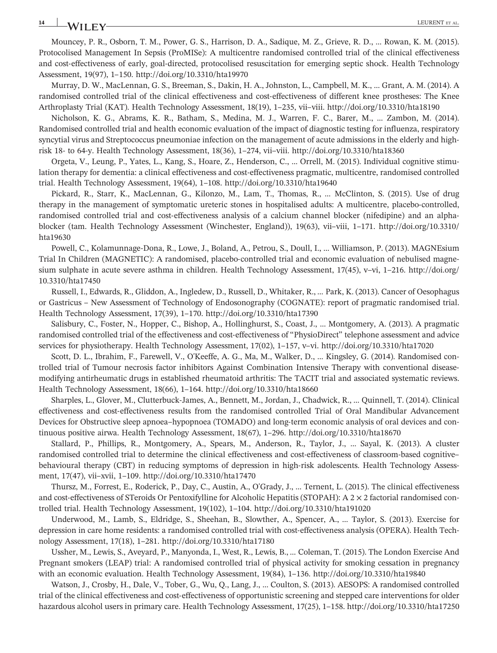## **14** LEURENT ET AL.

Mouncey, P. R., Osborn, T. M., Power, G. S., Harrison, D. A., Sadique, M. Z., Grieve, R. D., … Rowan, K. M. (2015). Protocolised Management In Sepsis (ProMISe): A multicentre randomised controlled trial of the clinical effectiveness and cost-effectiveness of early, goal-directed, protocolised resuscitation for emerging septic shock. Health Technology Assessment, 19(97), 1–150.<http://doi.org/10.3310/hta19970>

Murray, D. W., MacLennan, G. S., Breeman, S., Dakin, H. A., Johnston, L., Campbell, M. K., … Grant, A. M. (2014). A randomised controlled trial of the clinical effectiveness and cost-effectiveness of different knee prostheses: The Knee Arthroplasty Trial (KAT). Health Technology Assessment, 18(19), 1–235, vii–viii.<http://doi.org/10.3310/hta18190>

Nicholson, K. G., Abrams, K. R., Batham, S., Medina, M. J., Warren, F. C., Barer, M., … Zambon, M. (2014). Randomised controlled trial and health economic evaluation of the impact of diagnostic testing for influenza, respiratory syncytial virus and Streptococcus pneumoniae infection on the management of acute admissions in the elderly and highrisk 18‐ to 64‐y. Health Technology Assessment, 18(36), 1–274, vii–viii.<http://doi.org/10.3310/hta18360>

Orgeta, V., Leung, P., Yates, L., Kang, S., Hoare, Z., Henderson, C., … Orrell, M. (2015). Individual cognitive stimulation therapy for dementia: a clinical effectiveness and cost‐effectiveness pragmatic, multicentre, randomised controlled trial. Health Technology Assessment, 19(64), 1–108.<http://doi.org/10.3310/hta19640>

Pickard, R., Starr, K., MacLennan, G., Kilonzo, M., Lam, T., Thomas, R., … McClinton, S. (2015). Use of drug therapy in the management of symptomatic ureteric stones in hospitalised adults: A multicentre, placebo‐controlled, randomised controlled trial and cost-effectiveness analysis of a calcium channel blocker (nifedipine) and an alphablocker (tam. Health Technology Assessment (Winchester, England)), 19(63), vii–viii, 1–171. [http://doi.org/10.3310/](http://doi.org/10.3310/hta19630) [hta19630](http://doi.org/10.3310/hta19630)

Powell, C., Kolamunnage‐Dona, R., Lowe, J., Boland, A., Petrou, S., Doull, I., … Williamson, P. (2013). MAGNEsium Trial In Children (MAGNETIC): A randomised, placebo‐controlled trial and economic evaluation of nebulised magnesium sulphate in acute severe asthma in children. Health Technology Assessment, 17(45), v–vi, 1–216. [http://doi.org/](http://doi.org/10.3310/hta17450) [10.3310/hta17450](http://doi.org/10.3310/hta17450)

Russell, I., Edwards, R., Gliddon, A., Ingledew, D., Russell, D., Whitaker, R., … Park, K. (2013). Cancer of Oesophagus or Gastricus – New Assessment of Technology of Endosonography (COGNATE): report of pragmatic randomised trial. Health Technology Assessment, 17(39), 1–170.<http://doi.org/10.3310/hta17390>

Salisbury, C., Foster, N., Hopper, C., Bishop, A., Hollinghurst, S., Coast, J., … Montgomery, A. (2013). A pragmatic randomised controlled trial of the effectiveness and cost‐effectiveness of "PhysioDirect" telephone assessment and advice services for physiotherapy. Health Technology Assessment, 17(02), 1–157, v–vi.<http://doi.org/10.3310/hta17020>

Scott, D. L., Ibrahim, F., Farewell, V., O'Keeffe, A. G., Ma, M., Walker, D., … Kingsley, G. (2014). Randomised controlled trial of Tumour necrosis factor inhibitors Against Combination Intensive Therapy with conventional disease‐ modifying antirheumatic drugs in established rheumatoid arthritis: The TACIT trial and associated systematic reviews. Health Technology Assessment, 18(66), 1–164.<http://doi.org/10.3310/hta18660>

Sharples, L., Glover, M., Clutterbuck‐James, A., Bennett, M., Jordan, J., Chadwick, R., … Quinnell, T. (2014). Clinical effectiveness and cost‐effectiveness results from the randomised controlled Trial of Oral Mandibular Advancement Devices for Obstructive sleep apnoea–hypopnoea (TOMADO) and long-term economic analysis of oral devices and continuous positive airwa. Health Technology Assessment, 18(67), 1–296.<http://doi.org/10.3310/hta18670>

Stallard, P., Phillips, R., Montgomery, A., Spears, M., Anderson, R., Taylor, J., … Sayal, K. (2013). A cluster randomised controlled trial to determine the clinical effectiveness and cost-effectiveness of classroom-based cognitive– behavioural therapy (CBT) in reducing symptoms of depression in high-risk adolescents. Health Technology Assessment, 17(47), vii–xvii, 1–109.<http://doi.org/10.3310/hta17470>

Thursz, M., Forrest, E., Roderick, P., Day, C., Austin, A., O'Grady, J., … Ternent, L. (2015). The clinical effectiveness and cost-effectiveness of STeroids Or Pentoxifylline for Alcoholic Hepatitis (STOPAH): A  $2 \times 2$  factorial randomised controlled trial. Health Technology Assessment, 19(102), 1–104.<http://doi.org/10.3310/hta191020>

Underwood, M., Lamb, S., Eldridge, S., Sheehan, B., Slowther, A., Spencer, A., … Taylor, S. (2013). Exercise for depression in care home residents: a randomised controlled trial with cost‐effectiveness analysis (OPERA). Health Technology Assessment, 17(18), 1–281.<http://doi.org/10.3310/hta17180>

Ussher, M., Lewis, S., Aveyard, P., Manyonda, I., West, R., Lewis, B., … Coleman, T. (2015). The London Exercise And Pregnant smokers (LEAP) trial: A randomised controlled trial of physical activity for smoking cessation in pregnancy with an economic evaluation. Health Technology Assessment, 19(84), 1–136.<http://doi.org/10.3310/hta19840>

Watson, J., Crosby, H., Dale, V., Tober, G., Wu, Q., Lang, J., … Coulton, S. (2013). AESOPS: A randomised controlled trial of the clinical effectiveness and cost‐effectiveness of opportunistic screening and stepped care interventions for older hazardous alcohol users in primary care. Health Technology Assessment, 17(25), 1–158.<http://doi.org/10.3310/hta17250>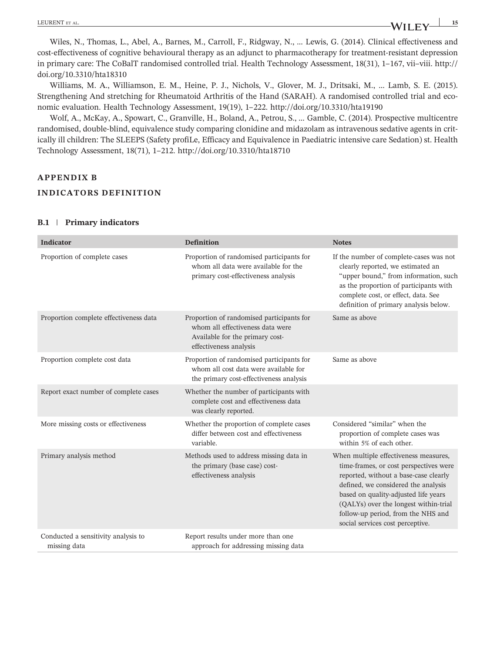Wiles, N., Thomas, L., Abel, A., Barnes, M., Carroll, F., Ridgway, N., … Lewis, G. (2014). Clinical effectiveness and cost‐effectiveness of cognitive behavioural therapy as an adjunct to pharmacotherapy for treatment‐resistant depression in primary care: The CoBalT randomised controlled trial. Health Technology Assessment, 18(31), 1–167, vii–viii. [http://](http://doi.org/10.3310/hta18310) [doi.org/10.3310/hta18310](http://doi.org/10.3310/hta18310)

Williams, M. A., Williamson, E. M., Heine, P. J., Nichols, V., Glover, M. J., Dritsaki, M., … Lamb, S. E. (2015). Strengthening And stretching for Rheumatoid Arthritis of the Hand (SARAH). A randomised controlled trial and economic evaluation. Health Technology Assessment, 19(19), 1–222.<http://doi.org/10.3310/hta19190>

Wolf, A., McKay, A., Spowart, C., Granville, H., Boland, A., Petrou, S., … Gamble, C. (2014). Prospective multicentre randomised, double‐blind, equivalence study comparing clonidine and midazolam as intravenous sedative agents in critically ill children: The SLEEPS (Safety profiLe, Efficacy and Equivalence in Paediatric intensive care Sedation) st. Health Technology Assessment, 18(71), 1–212.<http://doi.org/10.3310/hta18710>

#### **APPENDIX B**

#### **INDICATORS DEFINITION**

| <b>Indicator</b>                                    | <b>Definition</b>                                                                                                                          | <b>Notes</b>                                                                                                                                                                                                                                                                                                               |
|-----------------------------------------------------|--------------------------------------------------------------------------------------------------------------------------------------------|----------------------------------------------------------------------------------------------------------------------------------------------------------------------------------------------------------------------------------------------------------------------------------------------------------------------------|
| Proportion of complete cases                        | Proportion of randomised participants for<br>whom all data were available for the<br>primary cost-effectiveness analysis                   | If the number of complete-cases was not<br>clearly reported, we estimated an<br>"upper bound," from information, such<br>as the proportion of participants with<br>complete cost, or effect, data. See<br>definition of primary analysis below.                                                                            |
| Proportion complete effectiveness data              | Proportion of randomised participants for<br>whom all effectiveness data were<br>Available for the primary cost-<br>effectiveness analysis | Same as above                                                                                                                                                                                                                                                                                                              |
| Proportion complete cost data                       | Proportion of randomised participants for<br>whom all cost data were available for<br>the primary cost-effectiveness analysis              | Same as above                                                                                                                                                                                                                                                                                                              |
| Report exact number of complete cases               | Whether the number of participants with<br>complete cost and effectiveness data<br>was clearly reported.                                   |                                                                                                                                                                                                                                                                                                                            |
| More missing costs or effectiveness                 | Whether the proportion of complete cases<br>differ between cost and effectiveness<br>variable.                                             | Considered "similar" when the<br>proportion of complete cases was<br>within 5% of each other.                                                                                                                                                                                                                              |
| Primary analysis method                             | Methods used to address missing data in<br>the primary (base case) cost-<br>effectiveness analysis                                         | When multiple effectiveness measures,<br>time-frames, or cost perspectives were<br>reported, without a base-case clearly<br>defined, we considered the analysis<br>based on quality-adjusted life years<br>(QALYs) over the longest within-trial<br>follow-up period, from the NHS and<br>social services cost perceptive. |
| Conducted a sensitivity analysis to<br>missing data | Report results under more than one<br>approach for addressing missing data                                                                 |                                                                                                                                                                                                                                                                                                                            |

#### **B.1** | **Primary indicators**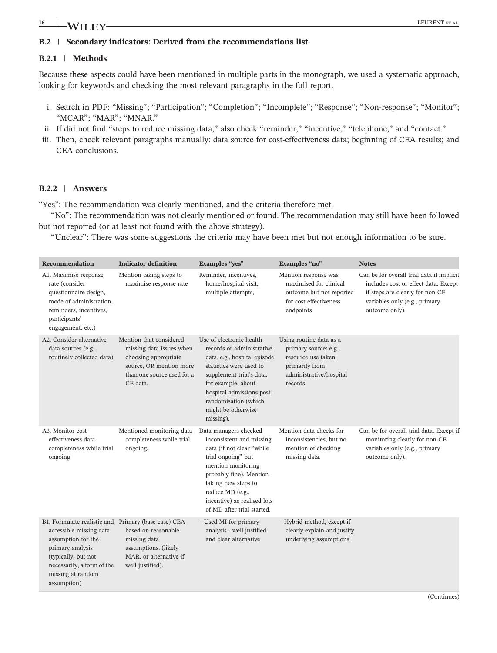# **16 LEURENT ET AL.** LEURENT ET AL.

## **B.2** | **Secondary indicators: Derived from the recommendations list**

### **B.2.1** | **Methods**

Because these aspects could have been mentioned in multiple parts in the monograph, we used a systematic approach, looking for keywords and checking the most relevant paragraphs in the full report.

- i. Search in PDF: "Missing"; "Participation"; "Completion"; "Incomplete"; "Response"; "Non-response"; "Monitor"; "MCAR"; "MAR"; "MNAR."
- ii. If did not find "steps to reduce missing data," also check "reminder," "incentive," "telephone," and "contact."
- iii. Then, check relevant paragraphs manually: data source for cost-effectiveness data; beginning of CEA results; and CEA conclusions.

#### **B.2.2** | **Answers**

"Yes": The recommendation was clearly mentioned, and the criteria therefore met.

"No": The recommendation was not clearly mentioned or found. The recommendation may still have been followed but not reported (or at least not found with the above strategy).

"Unclear": There was some suggestions the criteria may have been met but not enough information to be sure.

| Recommendation                                                                                                                                                                                                    | <b>Indicator definition</b>                                                                                                                      | Examples "yes"                                                                                                                                                                                                                                                 | Examples "no"                                                                                                                   | <b>Notes</b>                                                                                                                                                            |
|-------------------------------------------------------------------------------------------------------------------------------------------------------------------------------------------------------------------|--------------------------------------------------------------------------------------------------------------------------------------------------|----------------------------------------------------------------------------------------------------------------------------------------------------------------------------------------------------------------------------------------------------------------|---------------------------------------------------------------------------------------------------------------------------------|-------------------------------------------------------------------------------------------------------------------------------------------------------------------------|
| A1. Maximise response<br>rate (consider<br>questionnaire design,<br>mode of administration,<br>reminders, incentives,<br>participants'<br>engagement, etc.)                                                       | Mention taking steps to<br>maximise response rate                                                                                                | Reminder, incentives,<br>home/hospital visit,<br>multiple attempts,                                                                                                                                                                                            | Mention response was<br>maximised for clinical<br>outcome but not reported<br>for cost-effectiveness<br>endpoints               | Can be for overall trial data if implicit<br>includes cost or effect data. Except<br>if steps are clearly for non-CE<br>variables only (e.g., primary<br>outcome only). |
| A2. Consider alternative<br>data sources (e.g.,<br>routinely collected data)                                                                                                                                      | Mention that considered<br>missing data issues when<br>choosing appropriate<br>source, OR mention more<br>than one source used for a<br>CE data. | Use of electronic health<br>records or administrative<br>data, e.g., hospital episode<br>statistics were used to<br>supplement trial's data,<br>for example, about<br>hospital admissions post-<br>randomisation (which<br>might be otherwise<br>missing).     | Using routine data as a<br>primary source: e.g.,<br>resource use taken<br>primarily from<br>administrative/hospital<br>records. |                                                                                                                                                                         |
| A3. Monitor cost-<br>effectiveness data<br>completeness while trial<br>ongoing                                                                                                                                    | Mentioned monitoring data<br>completeness while trial<br>ongoing.                                                                                | Data managers checked<br>inconsistent and missing<br>data (if not clear "while"<br>trial ongoing" but<br>mention monitoring<br>probably fine). Mention<br>taking new steps to<br>reduce MD (e.g.,<br>incentive) as realised lots<br>of MD after trial started. | Mention data checks for<br>inconsistencies, but no<br>mention of checking<br>missing data.                                      | Can be for overall trial data. Except if<br>monitoring clearly for non-CE<br>variables only (e.g., primary<br>outcome only).                                            |
| B1. Formulate realistic and Primary (base-case) CEA<br>accessible missing data<br>assumption for the<br>primary analysis<br>(typically, but not<br>necessarily, a form of the<br>missing at random<br>assumption) | based on reasonable<br>missing data<br>assumptions. (likely<br>MAR, or alternative if<br>well justified).                                        | - Used MI for primary<br>analysis - well justified<br>and clear alternative                                                                                                                                                                                    | - Hybrid method, except if<br>clearly explain and justify<br>underlying assumptions                                             |                                                                                                                                                                         |